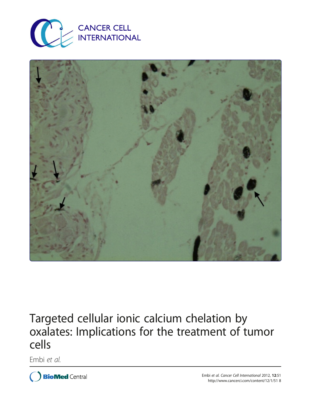



## Targeted cellular ionic calcium chelation by oxalates: Implications for the treatment of tumor cells

Embi et al.

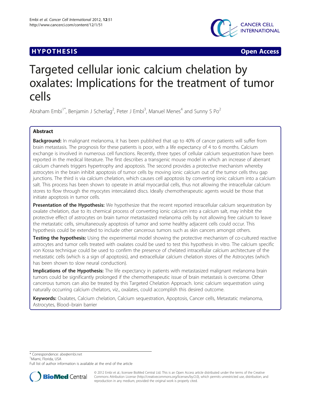## **HYPOTHESIS** CONSULTER THE SIGN OF THE SIGN OF THE SIGN OF THE SIGN OF THE SIGN OF THE SIGN OF THE SIGN OF THE SIGN OF THE SIGN OF THE SIGN OF THE SIGN OF THE SIGN OF THE SIGN OF THE SIGN OF THE SIGN OF THE SIGN OF THE SIG



# Targeted cellular ionic calcium chelation by oxalates: Implications for the treatment of tumor cells

Abraham Embi<sup>1\*</sup>, Benjamin J Scherlag<sup>2</sup>, Peter J Embi<sup>3</sup>, Manuel Menes<sup>4</sup> and Sunny S Po<sup>2</sup>

## Abstract

Background: In malignant melanoma, it has been published that up to 40% of cancer patients will suffer from brain metastasis. The prognosis for these patients is poor, with a life expectancy of 4 to 6 months. Calcium exchange is involved in numerous cell functions. Recently, three types of cellular calcium sequestration have been reported in the medical literature. The first describes a transgenic mouse model in which an increase of aberrant calcium channels triggers hypertrophy and apoptosis. The second provides a protective mechanism whereby astrocytes in the brain inhibit apoptosis of tumor cells by moving ionic calcium out of the tumor cells thru gap junctions. The third is via calcium chelation, which causes cell apoptosis by converting ionic calcium into a calcium salt. This process has been shown to operate in atrial myocardial cells, thus not allowing the intracellular calcium stores to flow through the myocytes intercalated discs. Ideally chemotherapeutic agents would be those that initiate apoptosis in tumor cells.

Presentation of the Hypothesis: We hypothesize that the recent reported intracellular calcium sequestration by oxalate chelation, due to its chemical process of converting ionic calcium into a calcium salt, may inhibit the protective effect of astrocytes on brain tumor metastasized melanoma cells by not allowing free calcium to leave the metastatic cells, simultaneously apoptosis of tumor and some healthy adjacent cells could occur. This hypothesis could be extended to include other cancerous tumors such as skin cancers amongst others.

Testing the hypothesis: Using the experimental model showing the protective mechanism of co-cultured reactive astrocytes and tumor cells treated with oxalates could be used to test this hypothesis in vitro. The calcium specific von Kossa technique could be used to confirm the presence of chelated intracellular calcium architecture of the metastatic cells (which is a sign of apoptosis), and extracellular calcium chelation stores of the Astrocytes (which has been shown to slow neural conduction).

Implications of the Hypothesis: The life expectancy in patients with metastasized malignant melanoma brain tumors could be significantly prolonged if the chemotherapeutic issue of brain metastasis is overcome. Other cancerous tumors can also be treated by this Targeted Chelation Approach. Ionic calcium sequestration using naturally occurring calcium chelators, viz., oxalates, could accomplish this desired outcome.

Keywords: Oxalates, Calcium chelation, Calcium sequestration, Apoptosis, Cancer cells, Metastatic melanoma, Astrocytes, Blood–brain barrier

\* Correspondence: abe@embi.net <sup>1</sup>

<sup>1</sup>Miami, Florida, USA

Full list of author information is available at the end of the article



© 2012 Embi et al.; licensee BioMed Central Ltd. This is an Open Access article distributed under the terms of the Creative Commons Attribution License (http://creativecommons.org/licenses/by/2.0), which permits unrestricted use, distribution, and reproduction in any medium, provided the original work is properly cited.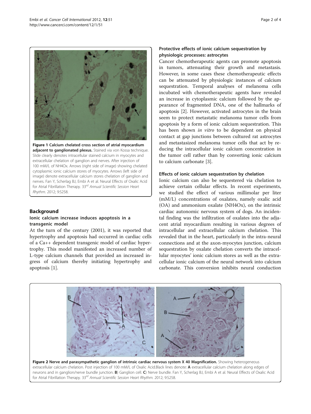<span id="page-2-0"></span>

Figure 1 Calcium chelated cross section of atrial myocardium adjacent to ganglionated plexus. Stained via von Kossa technique. Slide clearly denotes intracellular stained calcium in myocytes and extracellular chelation of ganglion and nerves. After injection of 100 mM/L of NH4Ox. Arrows (right side of image) showing chelated cytoplasmic ionic calcium stores of myocytes. Arrows (left side of image) denote extracellular calcium stores chelation of ganglion and nerves. Fan Y, Scherlag BJ, Embi A et al. Neural Effects of Oxalic Acid for Atrial Fibrillation Therapy. 33rd Annual Scientific Session Heart Rhythm. 2012; 9:S258.

## Background

### Ionic calcium increase induces apoptosis in a transgenic model

At the turn of the century (2001), it was reported that hypertrophy and apoptosis had occurred in cardiac cells of a Ca++ dependent transgenic model of cardiac hypertrophy. This model manifested an increased number of L-type calcium channels that provided an increased ingress of calcium thereby initiating hypertrophy and apoptosis [\[1](#page-4-0)].

## Protective effects of ionic calcium sequestration by physiologic processes: astrocytes

Cancer chemotherapeutic agents can promote apoptosis in tumors, attenuating their growth and metastasis. However, in some cases these chemotherapeutic effects can be attenuated by physiologic instances of calcium sequestration. Temporal analyses of melanoma cells incubated with chemotherapeutic agents have revealed an increase in cytoplasmic calcium followed by the appearance of fragmented DNA, one of the hallmarks of apoptosis [[2\]](#page-4-0). However, activated astrocytes in the brain seem to protect metastatic melanoma tumor cells from apoptosis by a form of ionic calcium sequestration. This has been shown in vitro to be dependent on physical contact at gap junctions between cultured rat astrocytes and metastasized melanoma tumor cells that act by reducing the intracellular ionic calcium concentration in the tumor cell rather than by converting ionic calcium to calcium carbonate [[3\]](#page-4-0).

## Effects of ionic calcium sequestration by chelation

Ionic calcium can also be sequestered via chelation to achieve certain cellular effects. In recent experiments, we studied the effect of various millimolar per liter (mM/L) concentrations of oxalates, namely oxalic acid (OA) and ammonium oxalate (NH4Ox), on the intrinsic cardiac autonomic nervous system of dogs. An incidental finding was the infiltration of oxalates into the adjacent atrial myocardium resulting in various degrees of intracellular and extracellular calcium chelation. This revealed that in the heart, particularly in the intra-neural connections and at the axon-myocytes junction, calcium sequestration by oxalate chelation converts the intracellular myocytes' ionic calcium stores as well as the extracellular ionic calcium of the neural network into calcium carbonate. This conversion inhibits neural conduction



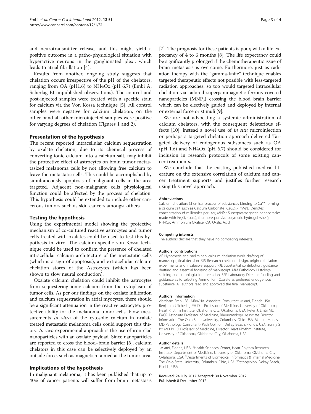and neurotransmitter release, and this might yield a positive outcome in a patho-physiological situation with hyperactive neurons in the ganglionated plexi, which leads to atrial fibrillation [[4](#page-4-0)].

Results from another, ongoing study suggests that chelation occurs irrespective of the pH of the chelators, ranging from OA (pH1.6) to NH4Ox (pH 6.7) (Embi A, Scherlag BJ unpublished observations). The control and post-injected samples were treated with a specific stain for calcium via the Von Kossa technique [\[5\]](#page-4-0). All control samples were negative for calcium chelation, on the other hand all other microinjected samples were positive for varying degrees of chelation (Figures [1](#page-2-0) and [2](#page-2-0)).

### Presentation of the hypothesis

The recent reported intracellular calcium sequestration by oxalate chelation, due to its chemical process of converting ionic calcium into a calcium salt, may inhibit the protective effect of astrocytes on brain tumor metastasized melanoma cells by not allowing free calcium to leave the metastatic cells. This could be accomplished by simultaneously apoptosis of malignant cells in the area targeted. Adjacent non-malignant cells physiological function could be affected by the process of chelation. This hypothesis could be extended to include other cancerous tumors such as skin cancers amongst others.

#### Testing the hypothesis

Using the experimental model showing the protective mechanism of co-cultured reactive astrocytes and tumor cells treated with oxalates could be used to test this hypothesis in vitro. The calcium specific von Kossa technique could be used to confirm the presence of chelated intracellular calcium architecture of the metastatic cells (which is a sign of apoptosis), and extracellular calcium chelation stores of the Astrocytes (which has been shown to slow neural conduction).

Oxalate calcium chelation could inhibit the astrocytes from sequestering ionic calcium from the cytoplasm of tumor cells. As per our findings on the oxalate infiltration and calcium sequestration in atrial myocytes, there should be a significant attenuation in the reactive astrocyte's protective ability for the melanoma tumor cells. Flow measurements *in vitro* of the cytosolic calcium in oxalate treated metastatic melanoma cells could support this theory. In vivo experimental approach is the use of iron-clad nanoparticles with an oxalate payload. Since nanoparticles are reported to cross the blood–brain barrier [\[6\]](#page-4-0), calcium chelators in this case can be selectively deployed by an outside force, such as magnetism aimed at the tumor area.

## Implications of the hypothesis

In malignant melanoma, it has been published that up to 40% of cancer patients will suffer from brain metastasis [[7\]](#page-4-0). The prognosis for these patients is poor, with a life expectancy of 4 to 6 months [\[8](#page-4-0)]. The life expectancy could be significantly prolonged if the chemotherapeutic issue of brain metastasis is overcome. Furthermore, just as radiation therapy with the "gamma-knife" technique enables targeted therapeutic effects not possible with less-targeted radiation approaches, so too would targeted intracellular chelation via tailored superparamagnetic ferrous covered nanoparticles  $(MNP<sub>S</sub>)$  crossing the blood brain barrier which can be electively guided and deployed by internal or external force or stimuli [[9\]](#page-4-0).

We are not advocating a systemic administration of calcium chelators, with the consequent deleterious effects [[10\]](#page-4-0), instead a novel use of in situ microinjection or perhaps a targeted chelation approach delivered Targeted delivery of endogenous substances such as OA (pH 1.6) and NH4Ox (pH 6.7) should be considered for inclusion in research protocols of some existing cancer treatments.

We conclude that the existing published medical literature on the extensive correlation of calcium and cancer treatment supports and justifies further research using this novel approach.

#### Abbreviations

Calcium chelation: Chemical process of substances binding to Ca<sup>++</sup> forming a calcium salt such as Calcium Carbonate (CaCO<sub>3</sub>); mM/L: Denotes concentration of millimoles per liter; MNP<sub>S</sub>: Superparamagnetic nanoparticles made with  $Fe<sub>3</sub>O<sub>4</sub>$  (core), thermoresponsive polymeric hydrogel (shell); NH4Ox: Ammonium Oxalate; OA: Oxalic Acid.

#### Competing interests

The authors declare that they have no competing interests.

#### Authors' contributions

AE Hypothesis and preliminary calcium chelation work, drafting of manuscript, final decision. BJS Research chelation design, original chelation experiments and invaluable support. PJE Substantial contribution, guidance, drafting and essential focusing of manuscript. MM Pathology Histology staining and pathologist interpretation. SSP Laboratory Director, funding and guidance as to selecting Ammonium Oxalate as preferred endogenous substance. All authors read and approved the final manuscript.

#### Authors' information

Abraham Embi- BS- MBA/HA. Associate Consultant, Miami, Florida USA. Benjamin J Scherlag PH D – Professor of Medicine, University of Oklahoma, Heart Rhythm Institute, Oklahoma City, Oklahoma, USA. Peter J. Embi MD FACR Associate Professor of Medicine, Rheumatology. Associate Director Informatics. The Ohio State University, Columbus, Ohio USA. Manuel Menes MD Pathology Consultant- Path Opinion, Delray Beach, Florida, USA. Sunny S Po MD PH D Professor of Medicine, Director Heart Rhythm Institute, University of Oklahoma, Oklahoma City, Oklahoma, USA.

#### Author details

<sup>1</sup> Miami, Florida, USA. <sup>2</sup> Health Sciences Center, Heart Rhythm Research Institute, Department of Medicine, University of Oklahoma, Oklahoma City, Oklahoma, USA. <sup>3</sup>Departments of Biomedical Informatics & Internal Medicine The Ohio State University, Columbus, Ohio, USA. <sup>4</sup>Pathopinion, Delray Beach, Florida, USA.

Received: 24 July 2012 Accepted: 30 November 2012 Published: 8 December 2012